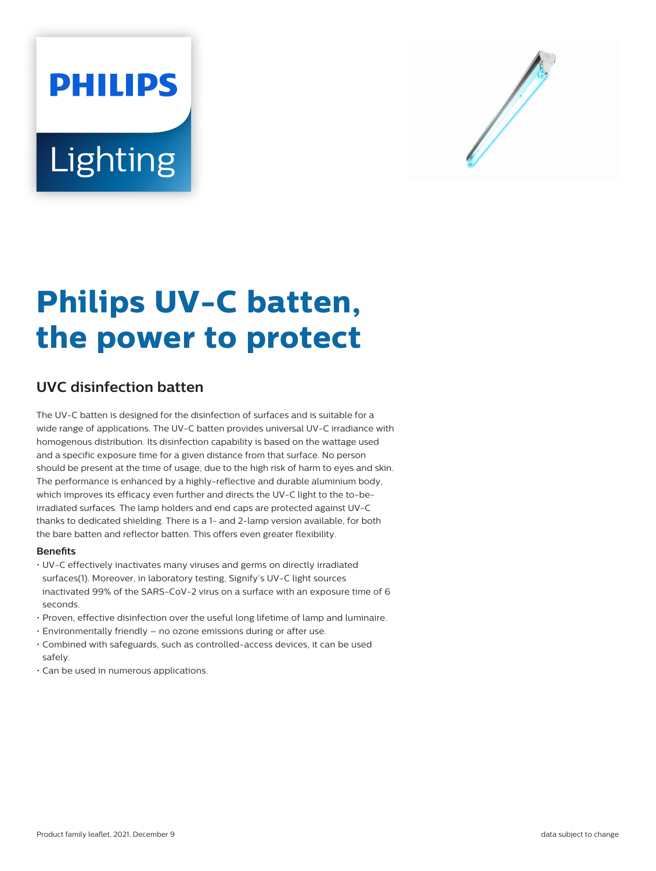# **PHILIPS** Lighting



# **Philips UV-C batten, the power to protect**

# **UVC disinfection batten**

The UV-C batten is designed for the disinfection of surfaces and is suitable for a wide range of applications. The UV-C batten provides universal UV-C irradiance with homogenous distribution. Its disinfection capability is based on the wattage used and a specific exposure time for a given distance from that surface. No person should be present at the time of usage, due to the high risk of harm to eyes and skin. The performance is enhanced by a highly-reflective and durable aluminium body, which improves its efficacy even further and directs the UV-C light to the to-beirradiated surfaces. The lamp holders and end caps are protected against UV-C thanks to dedicated shielding. There is a 1- and 2-lamp version available, for both the bare batten and reflector batten. This offers even greater flexibility.

#### **Benefits**

- UV-C effectively inactivates many viruses and germs on directly irradiated surfaces(1). Moreover, in laboratory testing, Signify's UV-C light sources inactivated 99% of the SARS-CoV-2 virus on a surface with an exposure time of 6 seconds.
- Proven, effective disinfection over the useful long lifetime of lamp and luminaire.
- Environmentally friendly no ozone emissions during or after use.
- Combined with safeguards, such as controlled-access devices, it can be used safely.
- Can be used in numerous applications.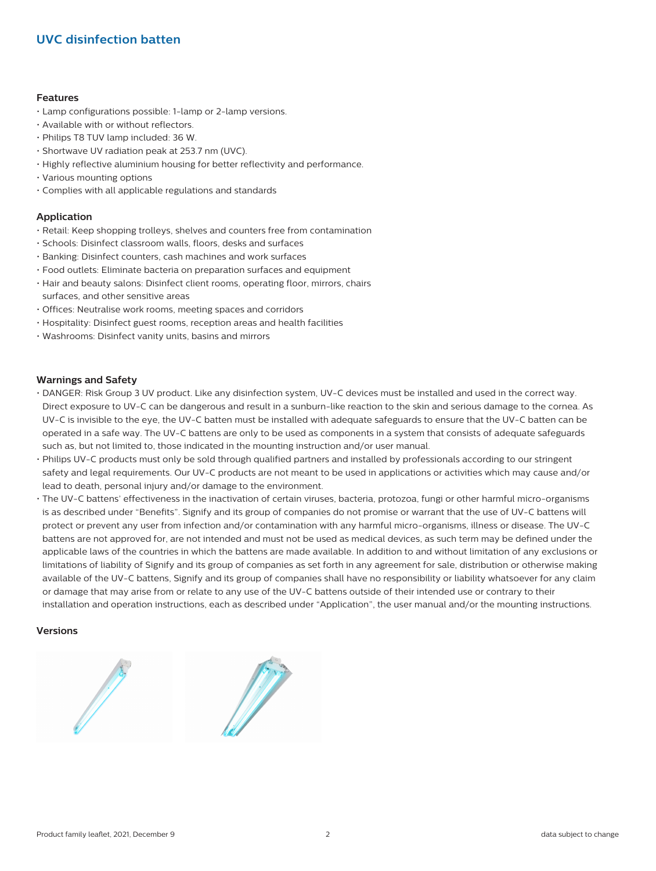# **UVC disinfection batten**

#### **Features**

- Lamp configurations possible: 1-lamp or 2-lamp versions.
- Available with or without reflectors.
- Philips T8 TUV lamp included: 36 W.
- Shortwave UV radiation peak at 253.7 nm (UVC).
- Highly reflective aluminium housing for better reflectivity and performance.
- Various mounting options
- Complies with all applicable regulations and standards

#### **Application**

- Retail: Keep shopping trolleys, shelves and counters free from contamination
- Schools: Disinfect classroom walls, floors, desks and surfaces
- Banking: Disinfect counters, cash machines and work surfaces
- Food outlets: Eliminate bacteria on preparation surfaces and equipment
- Hair and beauty salons: Disinfect client rooms, operating floor, mirrors, chairs surfaces, and other sensitive areas
- Offices: Neutralise work rooms, meeting spaces and corridors
- Hospitality: Disinfect guest rooms, reception areas and health facilities
- Washrooms: Disinfect vanity units, basins and mirrors

#### **Warnings and Safety**

- DANGER: Risk Group 3 UV product. Like any disinfection system, UV-C devices must be installed and used in the correct way. Direct exposure to UV-C can be dangerous and result in a sunburn-like reaction to the skin and serious damage to the cornea. As UV-C is invisible to the eye, the UV-C batten must be installed with adequate safeguards to ensure that the UV-C batten can be operated in a safe way. The UV-C battens are only to be used as components in a system that consists of adequate safeguards such as, but not limited to, those indicated in the mounting instruction and/or user manual.
- Philips UV-C products must only be sold through qualified partners and installed by professionals according to our stringent safety and legal requirements. Our UV-C products are not meant to be used in applications or activities which may cause and/or lead to death, personal injury and/or damage to the environment.
- The UV-C battens' effectiveness in the inactivation of certain viruses, bacteria, protozoa, fungi or other harmful micro-organisms is as described under "Benefits". Signify and its group of companies do not promise or warrant that the use of UV-C battens will protect or prevent any user from infection and/or contamination with any harmful micro-organisms, illness or disease. The UV-C battens are not approved for, are not intended and must not be used as medical devices, as such term may be defined under the applicable laws of the countries in which the battens are made available. In addition to and without limitation of any exclusions or limitations of liability of Signify and its group of companies as set forth in any agreement for sale, distribution or otherwise making available of the UV-C battens, Signify and its group of companies shall have no responsibility or liability whatsoever for any claim or damage that may arise from or relate to any use of the UV-C battens outside of their intended use or contrary to their installation and operation instructions, each as described under "Application", the user manual and/or the mounting instructions.

#### **Versions**



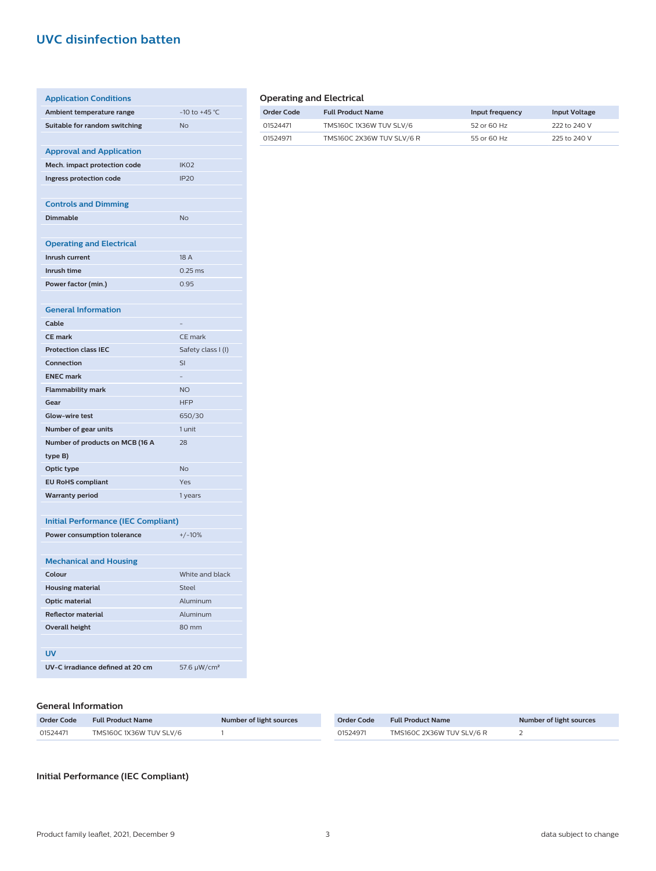## **UVC disinfection batten**

| <b>Application Conditions</b>              |                          |
|--------------------------------------------|--------------------------|
| Ambient temperature range                  | -10 to +45 °C            |
| Suitable for random switching              | <b>No</b>                |
|                                            |                          |
| <b>Approval and Application</b>            |                          |
| Mech. impact protection code               | IK <sub>O</sub> 2        |
| Ingress protection code                    | <b>IP20</b>              |
|                                            |                          |
| <b>Controls and Dimming</b>                |                          |
| <b>Dimmable</b>                            | <b>No</b>                |
|                                            |                          |
| <b>Operating and Electrical</b>            |                          |
| Inrush current                             | 18 A                     |
| Inrush time                                | $0.25$ ms                |
| Power factor (min.)                        | 0.95                     |
|                                            |                          |
| <b>General Information</b>                 |                          |
| Cable                                      |                          |
| <b>CE</b> mark                             | CE mark                  |
| <b>Protection class IEC</b>                | Safety class I (I)       |
| Connection                                 | SI                       |
| <b>ENEC mark</b>                           | $\overline{\phantom{0}}$ |
| <b>Flammability mark</b>                   | <b>NO</b>                |
| Gear                                       | <b>HFP</b>               |
| <b>Glow-wire test</b>                      | 650/30                   |
| Number of gear units                       | 1 unit                   |
| Number of products on MCB (16 A            | 28                       |
| type B)                                    |                          |
| Optic type                                 | <b>No</b>                |
| <b>EU RoHS compliant</b>                   | Yes                      |
| <b>Warranty period</b>                     | 1 years                  |
|                                            |                          |
| <b>Initial Performance (IEC Compliant)</b> |                          |
| Power consumption tolerance                | $+/-10%$                 |
|                                            |                          |
| <b>Mechanical and Housing</b>              |                          |
| Colour                                     | White and black          |
| <b>Housing material</b>                    | <b>Steel</b>             |
| <b>Optic material</b>                      | Aluminum                 |
| <b>Reflector material</b>                  | Aluminum                 |
| <b>Overall height</b>                      | 80 mm                    |
|                                            |                          |
| <b>UV</b>                                  |                          |

| UV-C irradiance defined at 20 cm | 57.6 $\mu$ W/cm <sup>2</sup> |
|----------------------------------|------------------------------|
|                                  |                              |

#### **General Information**

| <b>Order Code</b> | <b>Full Product Name</b> | Number of light sources | <b>Order Code</b> | <b>Full Product Name</b>  | Number of light sources |
|-------------------|--------------------------|-------------------------|-------------------|---------------------------|-------------------------|
| 01524471          | TMS160C 1X36W TUV SLV/6  |                         | 01524971          | TMS160C 2X36W TUV SLV/6 R |                         |

**Initial Performance (IEC Compliant)**

#### **Operating and Electrical**

| Order Code | <b>Full Product Name</b>  | Input frequency | <b>Input Voltage</b> |
|------------|---------------------------|-----------------|----------------------|
| 01524471   | TMS160C 1X36W TUV SLV/6   | 52 or 60 Hz     | 222 to 240 V         |
| 01524971   | TMS160C 2X36W TUV SLV/6 R | 55 or 60 Hz     | 225 to 240 V         |